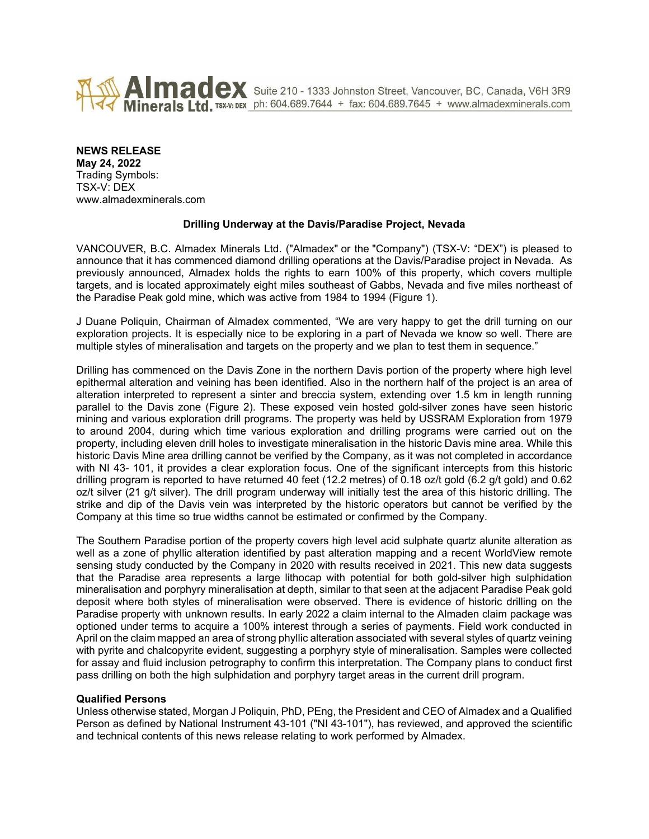

Almadex Suite 210 - 1333 Johnston Street, Vancouver, BC, Canada, V6H 3R9 Minerals Ltd. TSX-V: DEX ph: 604.689.7644 + fax: 604.689.7645 + www.almadexminerals.com

## **NEWS RELEASE**

**May 24, 2022** Trading Symbols: TSX-V: DEX www.almadexminerals.com

# **Drilling Underway at the Davis/Paradise Project, Nevada**

VANCOUVER, B.C. Almadex Minerals Ltd. ("Almadex" or the "Company") (TSX-V: "DEX") is pleased to announce that it has commenced diamond drilling operations at the Davis/Paradise project in Nevada. As previously announced, Almadex holds the rights to earn 100% of this property, which covers multiple targets, and is located approximately eight miles southeast of Gabbs, Nevada and five miles northeast of the Paradise Peak gold mine, which was active from 1984 to 1994 (Figure 1).

J Duane Poliquin, Chairman of Almadex commented, "We are very happy to get the drill turning on our exploration projects. It is especially nice to be exploring in a part of Nevada we know so well. There are multiple styles of mineralisation and targets on the property and we plan to test them in sequence."

Drilling has commenced on the Davis Zone in the northern Davis portion of the property where high level epithermal alteration and veining has been identified. Also in the northern half of the project is an area of alteration interpreted to represent a sinter and breccia system, extending over 1.5 km in length running parallel to the Davis zone (Figure 2). These exposed vein hosted gold-silver zones have seen historic mining and various exploration drill programs. The property was held by USSRAM Exploration from 1979 to around 2004, during which time various exploration and drilling programs were carried out on the property, including eleven drill holes to investigate mineralisation in the historic Davis mine area. While this historic Davis Mine area drilling cannot be verified by the Company, as it was not completed in accordance with NI 43- 101, it provides a clear exploration focus. One of the significant intercepts from this historic drilling program is reported to have returned 40 feet (12.2 metres) of 0.18 oz/t gold (6.2 g/t gold) and 0.62 oz/t silver (21 g/t silver). The drill program underway will initially test the area of this historic drilling. The strike and dip of the Davis vein was interpreted by the historic operators but cannot be verified by the Company at this time so true widths cannot be estimated or confirmed by the Company.

The Southern Paradise portion of the property covers high level acid sulphate quartz alunite alteration as well as a zone of phyllic alteration identified by past alteration mapping and a recent WorldView remote sensing study conducted by the Company in 2020 with results received in 2021. This new data suggests that the Paradise area represents a large lithocap with potential for both gold-silver high sulphidation mineralisation and porphyry mineralisation at depth, similar to that seen at the adjacent Paradise Peak gold deposit where both styles of mineralisation were observed. There is evidence of historic drilling on the Paradise property with unknown results. In early 2022 a claim internal to the Almaden claim package was optioned under terms to acquire a 100% interest through a series of payments. Field work conducted in April on the claim mapped an area of strong phyllic alteration associated with several styles of quartz veining with pyrite and chalcopyrite evident, suggesting a porphyry style of mineralisation. Samples were collected for assay and fluid inclusion petrography to confirm this interpretation. The Company plans to conduct first pass drilling on both the high sulphidation and porphyry target areas in the current drill program.

### **Qualified Persons**

Unless otherwise stated, Morgan J Poliquin, PhD, PEng, the President and CEO of Almadex and a Qualified Person as defined by National Instrument 43-101 ("NI 43-101"), has reviewed, and approved the scientific and technical contents of this news release relating to work performed by Almadex.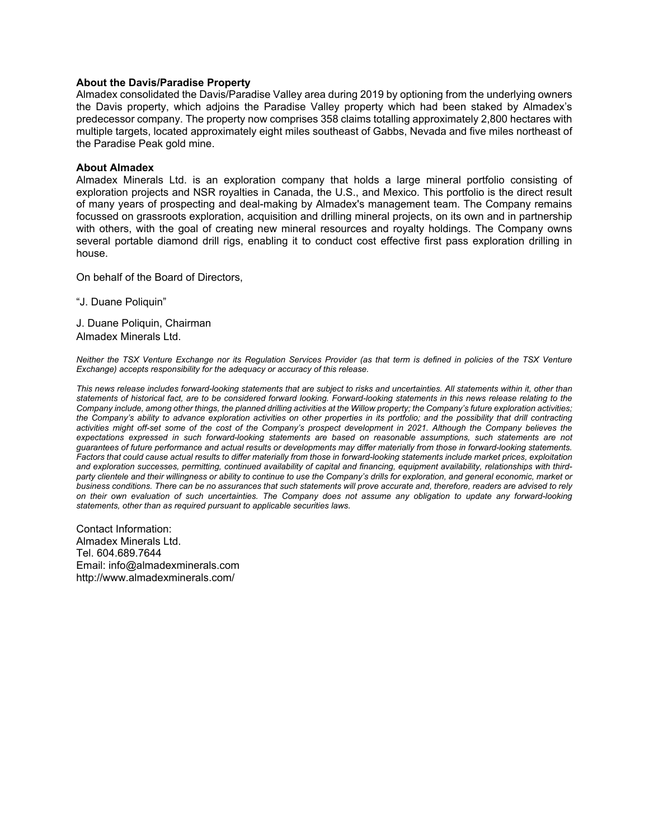### **About the Davis/Paradise Property**

Almadex consolidated the Davis/Paradise Valley area during 2019 by optioning from the underlying owners the Davis property, which adjoins the Paradise Valley property which had been staked by Almadex's predecessor company. The property now comprises 358 claims totalling approximately 2,800 hectares with multiple targets, located approximately eight miles southeast of Gabbs, Nevada and five miles northeast of the Paradise Peak gold mine.

### **About Almadex**

Almadex Minerals Ltd. is an exploration company that holds a large mineral portfolio consisting of exploration projects and NSR royalties in Canada, the U.S., and Mexico. This portfolio is the direct result of many years of prospecting and deal-making by Almadex's management team. The Company remains focussed on grassroots exploration, acquisition and drilling mineral projects, on its own and in partnership with others, with the goal of creating new mineral resources and royalty holdings. The Company owns several portable diamond drill rigs, enabling it to conduct cost effective first pass exploration drilling in house.

On behalf of the Board of Directors,

"J. Duane Poliquin"

J. Duane Poliquin, Chairman Almadex Minerals Ltd.

*Neither the TSX Venture Exchange nor its Regulation Services Provider (as that term is defined in policies of the TSX Venture Exchange) accepts responsibility for the adequacy or accuracy of this release.*

*This news release includes forward-looking statements that are subject to risks and uncertainties. All statements within it, other than statements of historical fact, are to be considered forward looking. Forward-looking statements in this news release relating to the Company include, among other things, the planned drilling activities at the Willow property; the Company's future exploration activities; the Company's ability to advance exploration activities on other properties in its portfolio; and the possibility that drill contracting activities might off-set some of the cost of the Company's prospect development in 2021. Although the Company believes the expectations expressed in such forward-looking statements are based on reasonable assumptions, such statements are not guarantees of future performance and actual results or developments may differ materially from those in forward-looking statements. Factors that could cause actual results to differ materially from those in forward-looking statements include market prices, exploitation and exploration successes, permitting, continued availability of capital and financing, equipment availability, relationships with thirdparty clientele and their willingness or ability to continue to use the Company's drills for exploration, and general economic, market or business conditions. There can be no assurances that such statements will prove accurate and, therefore, readers are advised to rely on their own evaluation of such uncertainties. The Company does not assume any obligation to update any forward-looking statements, other than as required pursuant to applicable securities laws.*

Contact Information: Almadex Minerals Ltd. Tel. 604.689.7644 Email: info@almadexminerals.com http://www.almadexminerals.com/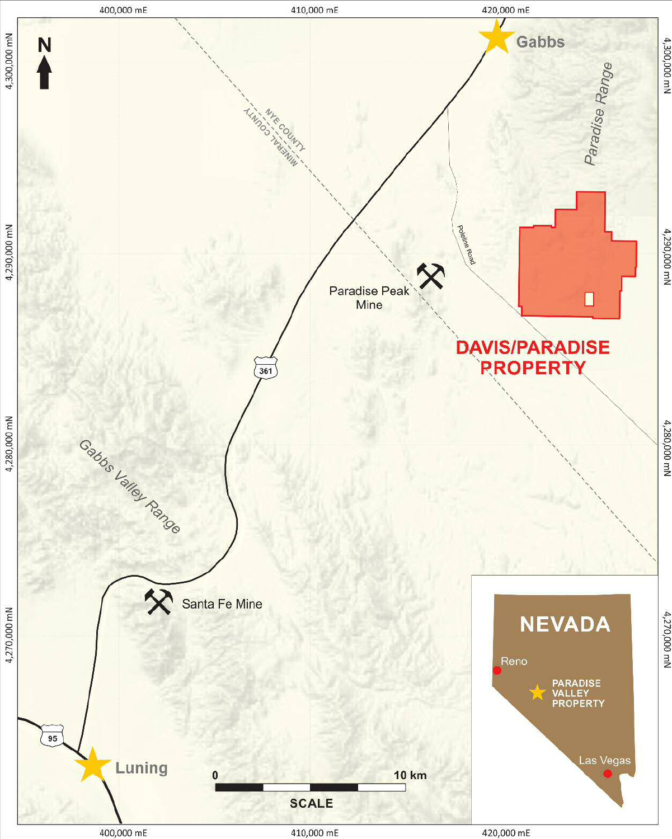